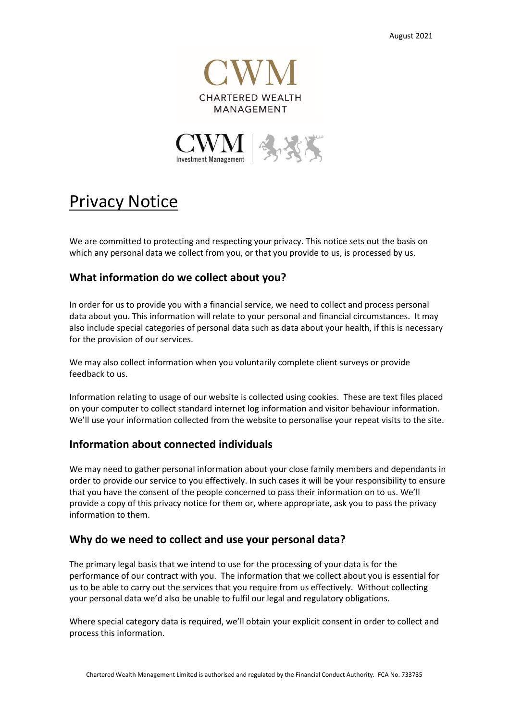



# Privacy Notice

We are committed to protecting and respecting your privacy. This notice sets out the basis on which any personal data we collect from you, or that you provide to us, is processed by us.

## **What information do we collect about you?**

In order for us to provide you with a financial service, we need to collect and process personal data about you. This information will relate to your personal and financial circumstances. It may also include special categories of personal data such as data about your health, if this is necessary for the provision of our services.

We may also collect information when you voluntarily complete client surveys or provide feedback to us.

Information relating to usage of our website is collected using cookies. These are text files placed on your computer to collect standard internet log information and visitor behaviour information. We'll use your information collected from the website to personalise your repeat visits to the site.

## **Information about connected individuals**

We may need to gather personal information about your close family members and dependants in order to provide our service to you effectively. In such cases it will be your responsibility to ensure that you have the consent of the people concerned to pass their information on to us. We'll provide a copy of this privacy notice for them or, where appropriate, ask you to pass the privacy information to them.

## **Why do we need to collect and use your personal data?**

The primary legal basis that we intend to use for the processing of your data is for the performance of our contract with you. The information that we collect about you is essential for us to be able to carry out the services that you require from us effectively. Without collecting your personal data we'd also be unable to fulfil our legal and regulatory obligations.

Where special category data is required, we'll obtain your explicit consent in order to collect and process this information.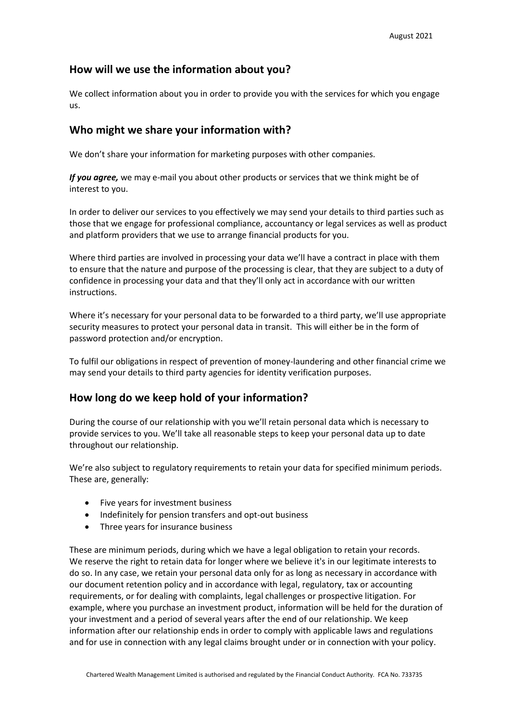## **How will we use the information about you?**

We collect information about you in order to provide you with the services for which you engage us.

## **Who might we share your information with?**

We don't share your information for marketing purposes with other companies.

*If you agree,* we may e-mail you about other products or services that we think might be of interest to you.

In order to deliver our services to you effectively we may send your details to third parties such as those that we engage for professional compliance, accountancy or legal services as well as product and platform providers that we use to arrange financial products for you.

Where third parties are involved in processing your data we'll have a contract in place with them to ensure that the nature and purpose of the processing is clear, that they are subject to a duty of confidence in processing your data and that they'll only act in accordance with our written instructions.

Where it's necessary for your personal data to be forwarded to a third party, we'll use appropriate security measures to protect your personal data in transit. This will either be in the form of password protection and/or encryption.

To fulfil our obligations in respect of prevention of money-laundering and other financial crime we may send your details to third party agencies for identity verification purposes.

## **How long do we keep hold of your information?**

During the course of our relationship with you we'll retain personal data which is necessary to provide services to you. We'll take all reasonable steps to keep your personal data up to date throughout our relationship.

We're also subject to regulatory requirements to retain your data for specified minimum periods. These are, generally:

- Five years for investment business
- Indefinitely for pension transfers and opt-out business
- Three years for insurance business

These are minimum periods, during which we have a legal obligation to retain your records. We reserve the right to retain data for longer where we believe it's in our legitimate interests to do so. In any case, we retain your personal data only for as long as necessary in accordance with our document retention policy and in accordance with legal, regulatory, tax or accounting requirements, or for dealing with complaints, legal challenges or prospective litigation. For example, where you purchase an investment product, information will be held for the duration of your investment and a period of several years after the end of our relationship. We keep information after our relationship ends in order to comply with applicable laws and regulations and for use in connection with any legal claims brought under or in connection with your policy.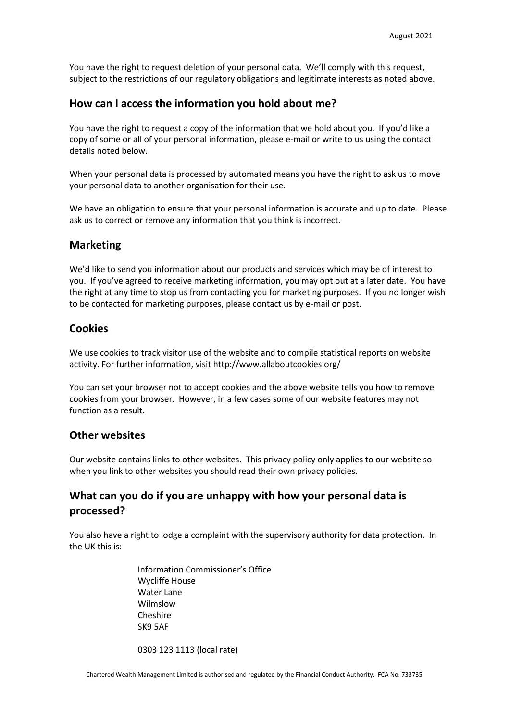You have the right to request deletion of your personal data. We'll comply with this request, subject to the restrictions of our regulatory obligations and legitimate interests as noted above.

#### **How can I access the information you hold about me?**

You have the right to request a copy of the information that we hold about you. If you'd like a copy of some or all of your personal information, please e-mail or write to us using the contact details noted below.

When your personal data is processed by automated means you have the right to ask us to move your personal data to another organisation for their use.

We have an obligation to ensure that your personal information is accurate and up to date. Please ask us to correct or remove any information that you think is incorrect.

#### **Marketing**

We'd like to send you information about our products and services which may be of interest to you. If you've agreed to receive marketing information, you may opt out at a later date. You have the right at any time to stop us from contacting you for marketing purposes. If you no longer wish to be contacted for marketing purposes, please contact us by e-mail or post.

#### **Cookies**

We use cookies to track visitor use of the website and to compile statistical reports on website activity. For further information, visit http://www.allaboutcookies.org/

You can set your browser not to accept cookies and the above website tells you how to remove cookies from your browser. However, in a few cases some of our website features may not function as a result.

#### **Other websites**

Our website contains links to other websites. This privacy policy only applies to our website so when you link to other websites you should read their own privacy policies.

## **What can you do if you are unhappy with how your personal data is processed?**

You also have a right to lodge a complaint with the supervisory authority for data protection. In the UK this is:

> Information Commissioner's Office Wycliffe House Water Lane Wilmslow Cheshire SK9 5AF

0303 123 1113 (local rate)